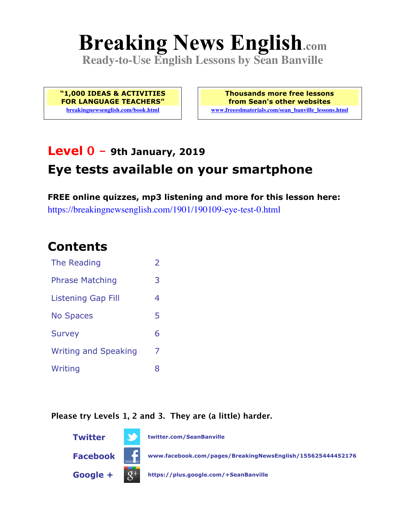# **Breaking News English.com**

**Ready-to-Use English Lessons by Sean Banville**

**"1,000 IDEAS & ACTIVITIES FOR LANGUAGE TEACHERS" breakingnewsenglish.com/book.html**

**Thousands more free lessons from Sean's other websites www.freeeslmaterials.com/sean\_banville\_lessons.html**

# **Level 0 - 9th January, 2019 Eye tests available on your smartphone**

**FREE online quizzes, mp3 listening and more for this lesson here:** https://breakingnewsenglish.com/1901/190109-eye-test-0.html

#### **Contents**

| The Reading                 | $\overline{2}$ |
|-----------------------------|----------------|
| <b>Phrase Matching</b>      | 3              |
| <b>Listening Gap Fill</b>   | 4              |
| <b>No Spaces</b>            | 5              |
| <b>Survey</b>               | 6              |
| <b>Writing and Speaking</b> | 7              |
| Writing                     | 8              |

**Please try Levels 1, 2 and 3. They are (a little) harder.**

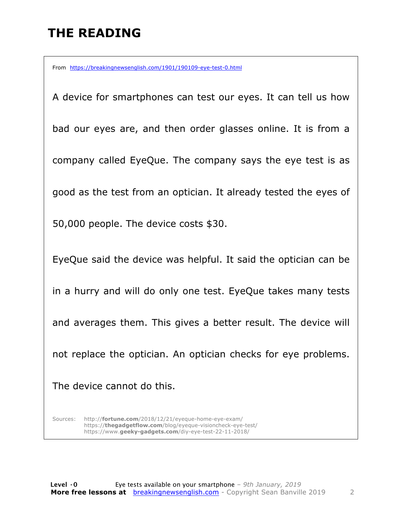## **THE READING**

From https://breakingnewsenglish.com/1901/190109-eye-test-0.html

A device for smartphones can test our eyes. It can tell us how bad our eyes are, and then order glasses online. It is from a company called EyeQue. The company says the eye test is as good as the test from an optician. It already tested the eyes of 50,000 people. The device costs \$30. EyeQue said the device was helpful. It said the optician can be in a hurry and will do only one test. EyeQue takes many tests and averages them. This gives a better result. The device will not replace the optician. An optician checks for eye problems. The device cannot do this.

Sources: http://**fortune.com**/2018/12/21/eyeque-home-eye-exam/ https://**thegadgetflow.com**/blog/eyeque-visioncheck-eye-test/ https://www.**geeky-gadgets.com**/diy-eye-test-22-11-2018/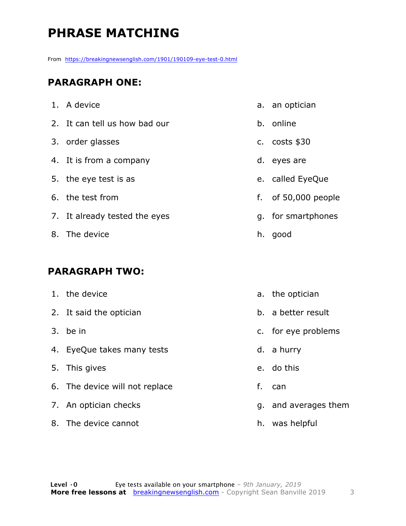# **PHRASE MATCHING**

From https://breakingnewsenglish.com/1901/190109-eye-test-0.html

#### **PARAGRAPH ONE:**

| 1. A device                   | a. an optician        |
|-------------------------------|-----------------------|
| 2. It can tell us how bad our | b. online             |
| 3. order glasses              | c. $costs$ \$30       |
| 4. It is from a company       | d. eyes are           |
| 5. the eye test is as         | e. called EyeQue      |
| 6. the test from              | f. of $50,000$ people |
| 7. It already tested the eyes | g. for smartphones    |
| 8. The device                 | h. good               |
|                               |                       |

#### **PARAGRAPH TWO:**

| 1. the device                  |    | a. the optician      |
|--------------------------------|----|----------------------|
|                                |    |                      |
| 2. It said the optician        |    | b. a better result   |
| 3. be in                       |    | c. for eye problems  |
| 4. EyeQue takes many tests     |    | d. a hurry           |
| 5. This gives                  |    | e. do this           |
| 6. The device will not replace | f. | can                  |
| 7. An optician checks          |    | g. and averages them |
| 8. The device cannot           |    | h. was helpful       |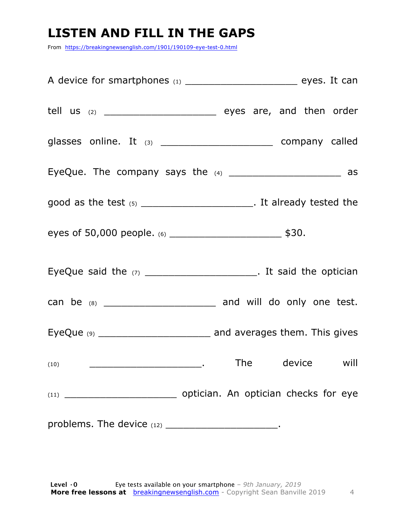### **LISTEN AND FILL IN THE GAPS**

From https://breakingnewsenglish.com/1901/190109-eye-test-0.html

| A device for smartphones (1) __________________________________ eyes. It can |  |
|------------------------------------------------------------------------------|--|
| tell us $(2)$ ________________________________ eyes are, and then order      |  |
| glasses online. It $(3)$ __________________________ company called           |  |
| EyeQue. The company says the (4) _________________________ as                |  |
| good as the test $(5)$ __________________________. It already tested the     |  |
| eyes of 50,000 people. (6) _________________________________ \$30.           |  |
| EyeQue said the $(7)$ __________________________. It said the optician       |  |
|                                                                              |  |
|                                                                              |  |
|                                                                              |  |
|                                                                              |  |
| problems. The device $(12)$ _________________________.                       |  |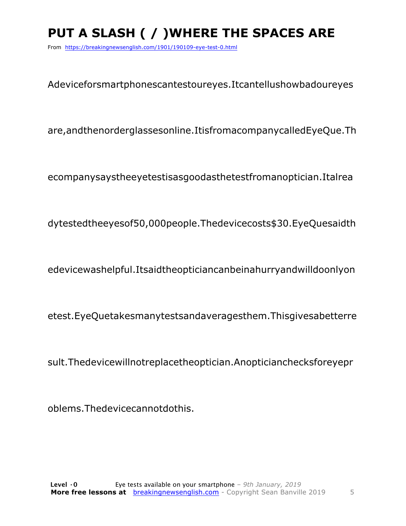# PUT A SLASH ( / ) WHERE THE SPACES ARE

From https://breakingnewsenglish.com/1901/190109-eye-test-0.html

Adeviceforsmartphonescantestoureyes.Itcantellushowbadoureyes

are, and the norder glasses online. It is from a company called EyeQue. Th

ecompanysaystheeyetestisasgoodasthetestfromanoptician.Italrea

dytestedtheeyesof50,000people.Thedevicecosts\$30.EyeQuesaidth

edevicewashelpful.Itsaidtheopticiancanbeinahurryandwilldoonlyon

etest.EyeQuetakesmanytestsandaveragesthem.Thisgivesabetterre

sult. The device will not replace the optician. An optician checks for eyepr

oblems. The device cannot do this.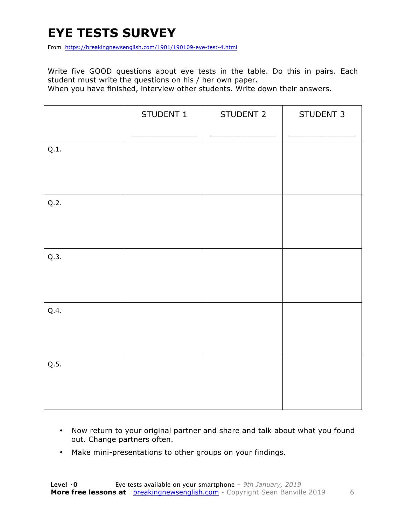### **EYE TESTS SURVEY**

From https://breakingnewsenglish.com/1901/190109-eye-test-4.html

Write five GOOD questions about eye tests in the table. Do this in pairs. Each student must write the questions on his / her own paper.

When you have finished, interview other students. Write down their answers.

|      | STUDENT 1 | STUDENT 2 | STUDENT 3 |
|------|-----------|-----------|-----------|
| Q.1. |           |           |           |
| Q.2. |           |           |           |
| Q.3. |           |           |           |
| Q.4. |           |           |           |
| Q.5. |           |           |           |

- Now return to your original partner and share and talk about what you found out. Change partners often.
- Make mini-presentations to other groups on your findings.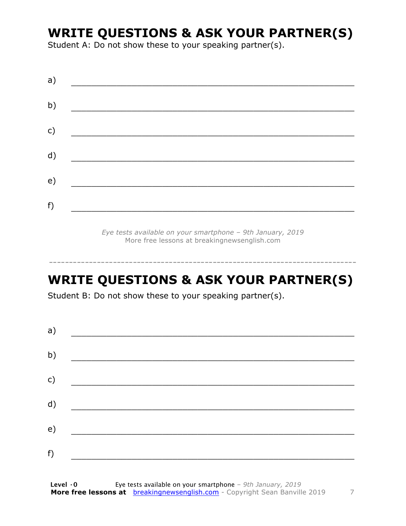#### **WRITE QUESTIONS & ASK YOUR PARTNER(S)**

Student A: Do not show these to your speaking partner(s).

| a)            |                                                    |  |  |
|---------------|----------------------------------------------------|--|--|
| b)            |                                                    |  |  |
| $\mathsf{c})$ | <u> 1980 - John Stein, Amerikaansk politiker (</u> |  |  |
| d)            |                                                    |  |  |
| e)            |                                                    |  |  |
| f)            |                                                    |  |  |
|               |                                                    |  |  |

*Eye tests available on your smartphone – 9th January, 2019* More free lessons at breakingnewsenglish.com

#### **WRITE QUESTIONS & ASK YOUR PARTNER(S)**

-----------------------------------------------------------------------------

Student B: Do not show these to your speaking partner(s).

| a) |  |  |
|----|--|--|
| b) |  |  |
| c) |  |  |
| d) |  |  |
| e) |  |  |
| f) |  |  |
|    |  |  |